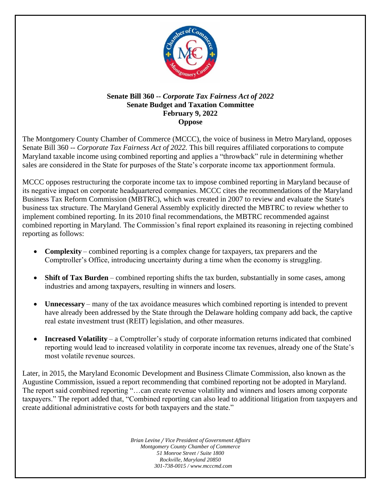

## **Senate Bill 360 --** *Corporate Tax Fairness Act of 2022* **Senate Budget and Taxation Committee February 9, 2022 Oppose**

The Montgomery County Chamber of Commerce (MCCC), the voice of business in Metro Maryland, opposes Senate Bill 360 -- *Corporate Tax Fairness Act of 2022.* This bill requires affiliated corporations to compute Maryland taxable income using combined reporting and applies a "throwback" rule in determining whether sales are considered in the State for purposes of the State's corporate income tax apportionment formula.

MCCC opposes restructuring the corporate income tax to impose combined reporting in Maryland because of its negative impact on corporate headquartered companies. MCCC cites the recommendations of the Maryland Business Tax Reform Commission (MBTRC), which was created in 2007 to review and evaluate the State's business tax structure. The Maryland General Assembly explicitly directed the MBTRC to review whether to implement combined reporting. In its 2010 final recommendations, the MBTRC recommended against combined reporting in Maryland. The Commission's final report explained its reasoning in rejecting combined reporting as follows:

- **Complexity** combined reporting is a complex change for taxpayers, tax preparers and the Comptroller's Office, introducing uncertainty during a time when the economy is struggling.
- **Shift of Tax Burden** combined reporting shifts the tax burden, substantially in some cases, among industries and among taxpayers, resulting in winners and losers.
- **Unnecessary** many of the tax avoidance measures which combined reporting is intended to prevent have already been addressed by the State through the Delaware holding company add back, the captive real estate investment trust (REIT) legislation, and other measures.
- **Increased Volatility** a Comptroller's study of corporate information returns indicated that combined reporting would lead to increased volatility in corporate income tax revenues, already one of the State's most volatile revenue sources.

Later, in 2015, the Maryland Economic Development and Business Climate Commission, also known as the Augustine Commission, issued a report recommending that combined reporting not be adopted in Maryland. The report said combined reporting "…can create revenue volatility and winners and losers among corporate taxpayers." The report added that, "Combined reporting can also lead to additional litigation from taxpayers and create additional administrative costs for both taxpayers and the state."

> *Brian Levine / Vice President of Government Affairs Montgomery County Chamber of Commerce 51 Monroe Street / Suite 1800 Rockville, Maryland 20850 301-738-0015 / www.mcccmd.com*